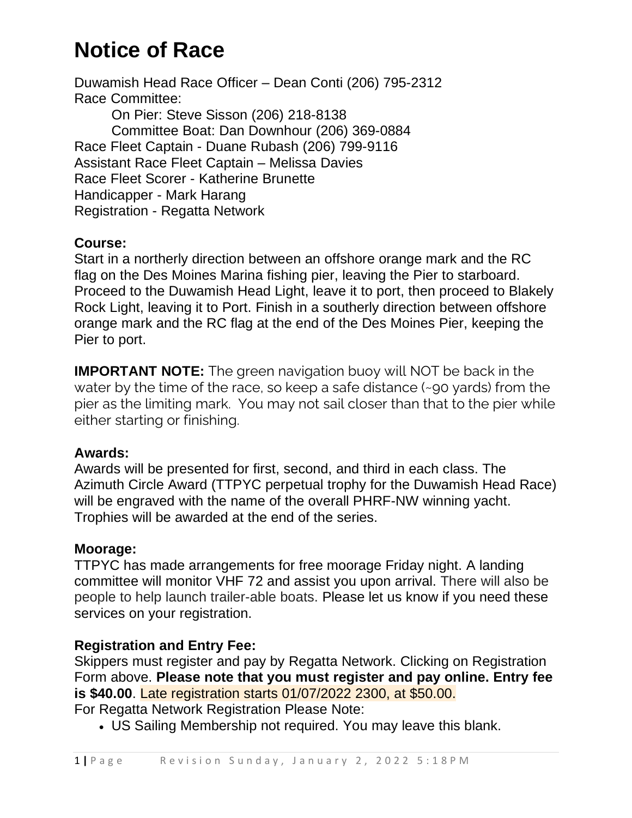# **Notice of Race**

Duwamish Head Race Officer – Dean Conti (206) 795-2312 Race Committee: On Pier: Steve Sisson (206) 218-8138 Committee Boat: Dan Downhour (206) 369-0884 Race Fleet Captain - Duane Rubash (206) 799-9116 Assistant Race Fleet Captain – Melissa Davies Race Fleet Scorer - Katherine Brunette Handicapper - Mark Harang Registration - Regatta Network

### **Course:**

Start in a northerly direction between an offshore orange mark and the RC flag on the Des Moines Marina fishing pier, leaving the Pier to starboard. Proceed to the Duwamish Head Light, leave it to port, then proceed to Blakely Rock Light, leaving it to Port. Finish in a southerly direction between offshore orange mark and the RC flag at the end of the Des Moines Pier, keeping the Pier to port.

**IMPORTANT NOTE:** The green navigation buoy will NOT be back in the water by the time of the race, so keep a safe distance (~90 yards) from the pier as the limiting mark. You may not sail closer than that to the pier while either starting or finishing.

### **Awards:**

Awards will be presented for first, second, and third in each class. The Azimuth Circle Award (TTPYC perpetual trophy for the Duwamish Head Race) will be engraved with the name of the overall PHRF-NW winning yacht. Trophies will be awarded at the end of the series.

### **Moorage:**

TTPYC has made arrangements for free moorage Friday night. A landing committee will monitor VHF 72 and assist you upon arrival. There will also be people to help launch trailer-able boats. Please let us know if you need these services on your registration.

### **Registration and Entry Fee:**

Skippers must register and pay by Regatta Network. Clicking on Registration Form above. **Please note that you must register and pay online. Entry fee is \$40.00**. Late registration starts 01/07/2022 2300, at \$50.00.

For Regatta Network Registration Please Note:

• US Sailing Membership not required. You may leave this blank.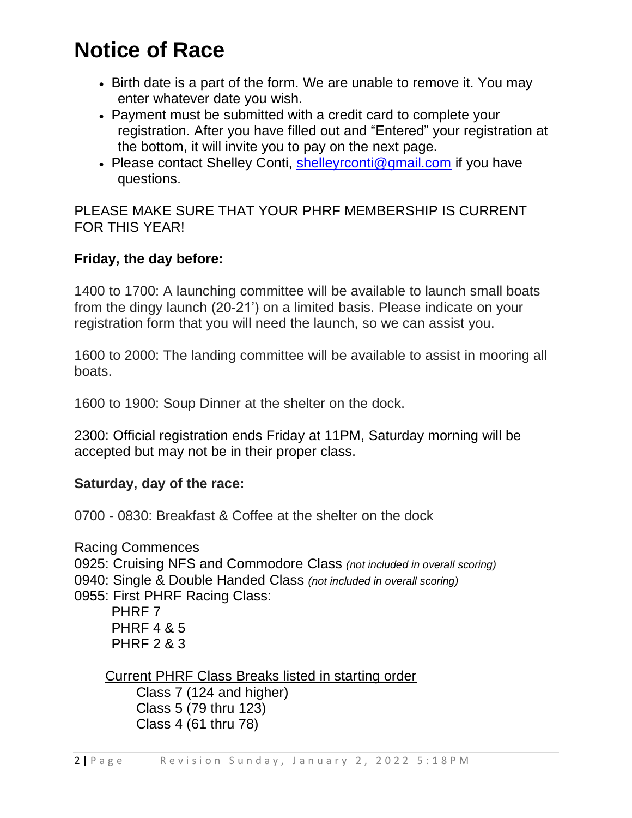# **Notice of Race**

- Birth date is a part of the form. We are unable to remove it. You may enter whatever date you wish.
- Payment must be submitted with a credit card to complete your registration. After you have filled out and "Entered" your registration at the bottom, it will invite you to pay on the next page.
- Please contact Shelley Conti, [shelleyrconti@gmail.com](mailto:shelleyrconti@gmail.com) if you have questions.

PLEASE MAKE SURE THAT YOUR PHRF MEMBERSHIP IS CURRENT FOR THIS YEAR!

### **Friday, the day before:**

1400 to 1700: A launching committee will be available to launch small boats from the dingy launch (20-21') on a limited basis. Please indicate on your registration form that you will need the launch, so we can assist you.

1600 to 2000: The landing committee will be available to assist in mooring all boats.

1600 to 1900: Soup Dinner at the shelter on the dock.

2300: Official registration ends Friday at 11PM, Saturday morning will be accepted but may not be in their proper class.

### **Saturday, day of the race:**

0700 - 0830: Breakfast & Coffee at the shelter on the dock

Racing Commences 0925: Cruising NFS and Commodore Class *(not included in overall scoring)* 0940: Single & Double Handed Class *(not included in overall scoring)* 0955: First PHRF Racing Class: PHRF 7 PHRF 4 & 5 PHRF 2 & 3

Current PHRF Class Breaks listed in starting order

Class 7 (124 and higher) Class 5 (79 thru 123) Class 4 (61 thru 78)